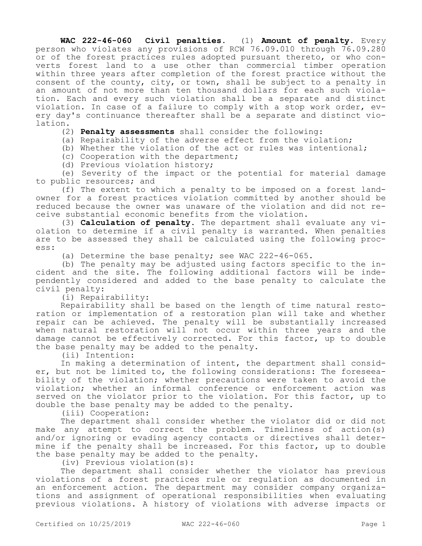**WAC 222-46-060 Civil penalties.** (1) **Amount of penalty.** Every person who violates any provisions of RCW 76.09.010 through 76.09.280 or of the forest practices rules adopted pursuant thereto, or who converts forest land to a use other than commercial timber operation within three years after completion of the forest practice without the consent of the county, city, or town, shall be subject to a penalty in an amount of not more than ten thousand dollars for each such violation. Each and every such violation shall be a separate and distinct violation. In case of a failure to comply with a stop work order, every day's continuance thereafter shall be a separate and distinct violation.

(2) **Penalty assessments** shall consider the following:

(a) Repairability of the adverse effect from the violation;

(b) Whether the violation of the act or rules was intentional;

(c) Cooperation with the department;

(d) Previous violation history;

(e) Severity of the impact or the potential for material damage to public resources; and

(f) The extent to which a penalty to be imposed on a forest landowner for a forest practices violation committed by another should be reduced because the owner was unaware of the violation and did not receive substantial economic benefits from the violation.

(3) **Calculation of penalty.** The department shall evaluate any violation to determine if a civil penalty is warranted. When penalties are to be assessed they shall be calculated using the following process:

(a) Determine the base penalty; see WAC 222-46-065.

(b) The penalty may be adjusted using factors specific to the incident and the site. The following additional factors will be independently considered and added to the base penalty to calculate the civil penalty:

(i) Repairability:

Repairability shall be based on the length of time natural restoration or implementation of a restoration plan will take and whether repair can be achieved. The penalty will be substantially increased when natural restoration will not occur within three years and the damage cannot be effectively corrected. For this factor, up to double the base penalty may be added to the penalty.

(ii) Intention:

In making a determination of intent, the department shall consider, but not be limited to, the following considerations: The foreseeability of the violation; whether precautions were taken to avoid the violation; whether an informal conference or enforcement action was served on the violator prior to the violation. For this factor, up to double the base penalty may be added to the penalty.

(iii) Cooperation:

The department shall consider whether the violator did or did not make any attempt to correct the problem. Timeliness of action(s) and/or ignoring or evading agency contacts or directives shall determine if the penalty shall be increased. For this factor, up to double the base penalty may be added to the penalty.

(iv) Previous violation(s):

The department shall consider whether the violator has previous violations of a forest practices rule or regulation as documented in an enforcement action. The department may consider company organizations and assignment of operational responsibilities when evaluating previous violations. A history of violations with adverse impacts or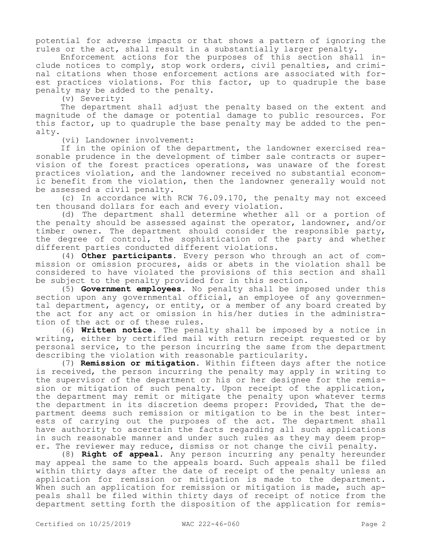potential for adverse impacts or that shows a pattern of ignoring the rules or the act, shall result in a substantially larger penalty.

Enforcement actions for the purposes of this section shall include notices to comply, stop work orders, civil penalties, and criminal citations when those enforcement actions are associated with forest practices violations. For this factor, up to quadruple the base penalty may be added to the penalty.

(v) Severity:

The department shall adjust the penalty based on the extent and magnitude of the damage or potential damage to public resources. For this factor, up to quadruple the base penalty may be added to the penalty.

(vi) Landowner involvement:

If in the opinion of the department, the landowner exercised reasonable prudence in the development of timber sale contracts or supervision of the forest practices operations, was unaware of the forest practices violation, and the landowner received no substantial economic benefit from the violation, then the landowner generally would not be assessed a civil penalty.

(c) In accordance with RCW 76.09.170, the penalty may not exceed ten thousand dollars for each and every violation.

(d) The department shall determine whether all or a portion of the penalty should be assessed against the operator, landowner, and/or timber owner. The department should consider the responsible party, the degree of control, the sophistication of the party and whether different parties conducted different violations.

(4) **Other participants.** Every person who through an act of commission or omission procures, aids or abets in the violation shall be considered to have violated the provisions of this section and shall be subject to the penalty provided for in this section.

(5) **Government employees.** No penalty shall be imposed under this section upon any governmental official, an employee of any governmental department, agency, or entity, or a member of any board created by the act for any act or omission in his/her duties in the administration of the act or of these rules.

(6) **Written notice.** The penalty shall be imposed by a notice in writing, either by certified mail with return receipt requested or by personal service, to the person incurring the same from the department describing the violation with reasonable particularity.

(7) **Remission or mitigation.** Within fifteen days after the notice is received, the person incurring the penalty may apply in writing to the supervisor of the department or his or her designee for the remission or mitigation of such penalty. Upon receipt of the application, the department may remit or mitigate the penalty upon whatever terms the department in its discretion deems proper: Provided, That the department deems such remission or mitigation to be in the best interests of carrying out the purposes of the act. The department shall have authority to ascertain the facts regarding all such applications in such reasonable manner and under such rules as they may deem proper. The reviewer may reduce, dismiss or not change the civil penalty.

(8) **Right of appeal.** Any person incurring any penalty hereunder may appeal the same to the appeals board. Such appeals shall be filed within thirty days after the date of receipt of the penalty unless an application for remission or mitigation is made to the department. When such an application for remission or mitigation is made, such appeals shall be filed within thirty days of receipt of notice from the department setting forth the disposition of the application for remis